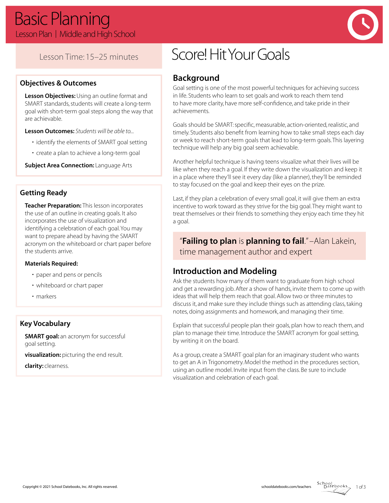

## Lesson Time: 15–25 minutes

## **Objectives & Outcomes**

**Lesson Objectives:** Using an outline format and SMART standards, students will create a long-term goal with short-term goal steps along the way that are achievable.

**Lesson Outcomes:** *Students will be able to...*

- identify the elements of SMART goal setting
- create a plan to achieve a long-term goal

**Subject Area Connection: Language Arts** 

### **Getting Ready**

**Teacher Preparation:** This lesson incorporates the use of an outline in creating goals. It also incorporates the use of visualization and identifying a celebration of each goal. You may want to prepare ahead by having the SMART acronym on the whiteboard or chart paper before the students arrive.

#### **Materials Required:**

- paper and pens or pencils
- whiteboard or chart paper
- markers

### **Key Vocabulary**

**SMART goal:** an acronym for successful goal setting.

**visualization:** picturing the end result.

**clarity:** clearness.

# Score! Hit Your Goals

## **Background**

Goal setting is one of the most powerful techniques for achieving success in life. Students who learn to set goals and work to reach them tend to have more clarity, have more self-confidence, and take pride in their achievements.

Goals should be SMART: specific, measurable, action-oriented, realistic, and timely. Students also benefit from learning how to take small steps each day or week to reach short-term goals that lead to long-term goals. This layering technique will help any big goal seem achievable.

Another helpful technique is having teens visualize what their lives will be like when they reach a goal. If they write down the visualization and keep it in a place where they'll see it every day (like a planner), they'll be reminded to stay focused on the goal and keep their eyes on the prize.

Last, if they plan a celebration of every small goal, it will give them an extra incentive to work toward as they strive for the big goal. They might want to treat themselves or their friends to something they enjoy each time they hit a goal.

"**Failing to plan** is **planning to fail**." –Alan Lakein, time management author and expert

## **Introduction and Modeling**

Ask the students how many of them want to graduate from high school and get a rewarding job. After a show of hands, invite them to come up with ideas that will help them reach that goal. Allow two or three minutes to discuss it, and make sure they include things such as attending class, taking notes, doing assignments and homework, and managing their time.

Explain that successful people plan their goals, plan how to reach them, and plan to manage their time. Introduce the SMART acronym for goal setting, by writing it on the board.

As a group, create a SMART goal plan for an imaginary student who wants to get an A in Trigonometry. Model the method in the procedures section, using an outline model. Invite input from the class. Be sure to include visualization and celebration of each goal.

1 of 3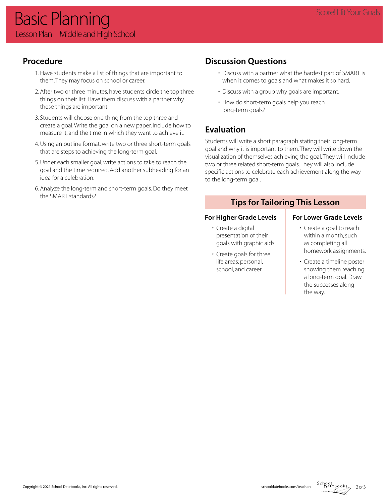## **Procedure**

- 1. Have students make a list of things that are important to them. They may focus on school or career.
- 2. After two or three minutes, have students circle the top three things on their list. Have them discuss with a partner why these things are important.
- 3. Students will choose one thing from the top three and create a goal. Write the goal on a new paper. Include how to measure it, and the time in which they want to achieve it.
- 4. Using an outline format, write two or three short-term goals that are steps to achieving the long-term goal.
- 5. Under each smaller goal, write actions to take to reach the goal and the time required. Add another subheading for an idea for a celebration.
- 6. Analyze the long-term and short-term goals. Do they meet the SMART standards?

## **Discussion Questions**

- Discuss with a partner what the hardest part of SMART is when it comes to goals and what makes it so hard.
- Discuss with a group why goals are important.
- How do short-term goals help you reach long-term goals?

## **Evaluation**

Students will write a short paragraph stating their long-term goal and why it is important to them. They will write down the visualization of themselves achieving the goal. They will include two or three related short-term goals. They will also include specific actions to celebrate each achievement along the way to the long-term goal.

## **Tips for Tailoring This Lesson**

## For Higher Grade Levels **For Lower Grade Levels**

- Create a digital presentation of their goals with graphic aids.
- Create goals for three life areas: personal, school, and career.

- Create a goal to reach within a month, such as completing all homework assignments.
- Create a timeline poster showing them reaching a long-term goal. Draw the successes along the way.